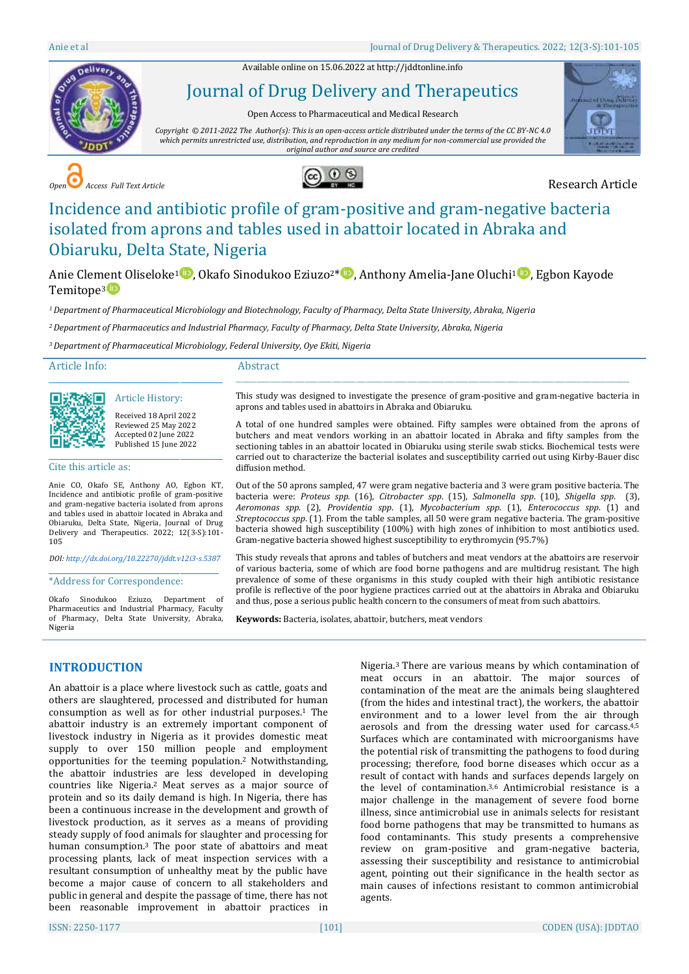Available online on 15.06.2022 a[t http://jddtonline.info](http://jddtonline.info/)



# Journal of Drug Delivery and Therapeutics

Open Access to Pharmaceutical and Medical Research

*Copyright © 2011-2022 The Author(s): This is an open-access article distributed under the terms of the CC BY-NC 4.0 which permits unrestricted use, distribution, and reproduction in any medium for non-commercial use provided the original author and source are credited*



*Open Access Full Text Article* Research Article



# Incidence and antibiotic profile of gram-positive and gram-negative bacteria isolated from aprons and tables used in abattoir located in Abraka and Obiaruku, Delta State, Nigeria

Anie Clement Oliseloke<sup>[1](http://orcid.org/0000-0002-6427-9018)</sup> , Okafo Sinodukoo Eziuzo<sup>2[\\*](http://orcid.org/0000-0002-9284-8230)</sup> , Anthony Amelia-Jane Oluchi<sup>1</sup> , Egbon Kayode Temitope<sup>3</sup>

*<sup>1</sup>Department of Pharmaceutical Microbiology and Biotechnology, Faculty of Pharmacy, Delta State University, Abraka, Nigeria*

*<sup>2</sup>Department of Pharmaceutics and Industrial Pharmacy, Faculty of Pharmacy, Delta State University, Abraka, Nigeria*

*<sup>3</sup>Department of Pharmaceutical Microbiology, Federal University, Oye Ekiti, Nigeria*

#### Article Info:

#### Abstract

\_\_\_\_\_\_\_\_\_\_\_\_\_\_\_\_\_\_\_\_\_\_\_\_\_\_\_\_\_\_\_\_\_\_\_\_\_\_\_\_\_\_\_\_\_

Article History: Received 18 April 2022 Reviewed 25 May 2022 Accepted 02 June 2022 Published 15 June 2022

\_\_\_\_\_\_\_\_\_\_\_\_\_\_\_\_\_\_\_\_\_\_\_\_\_\_\_\_\_\_\_\_\_\_\_\_\_\_\_\_\_\_\_\_\_

Cite this article as:

Anie CO, Okafo SE, Anthony AO, Egbon KT, Incidence and antibiotic profile of gram-positive and gram-negative bacteria isolated from aprons and tables used in abattoir located in Abraka and Obiaruku, Delta State, Nigeria, Journal of Drug Delivery and Therapeutics. 2022; 12(3-S):101- 105

*DOI[: http://dx.doi.org/10.22270/jddt.v12i3-s.5387](http://dx.doi.org/10.22270/jddt.v12i3-s.5387)*  \_\_\_\_\_\_\_\_\_\_\_\_\_\_\_\_\_\_\_\_\_\_\_\_\_\_\_\_\_\_\_\_\_\_\_\_\_\_\_\_\_\_\_\_

#### \*Address for Correspondence:

Okafo Sinodukoo Eziuzo, Department of Pharmaceutics and Industrial Pharmacy, Faculty of Pharmacy, Delta State University, Abraka, Nigeria

This study was designed to investigate the presence of gram-positive and gram-negative bacteria in aprons and tables used in abattoirs in Abraka and Obiaruku.

\_\_\_\_\_\_\_\_\_\_\_\_\_\_\_\_\_\_\_\_\_\_\_\_\_\_\_\_\_\_\_\_\_\_\_\_\_\_\_\_\_\_\_\_\_\_\_\_\_\_\_\_\_\_\_\_\_\_\_\_\_\_\_\_\_\_\_\_\_\_\_\_\_\_\_\_\_\_\_\_\_\_\_\_\_\_\_\_\_\_\_\_\_\_\_\_\_\_\_\_\_\_\_\_\_\_\_\_\_\_\_\_\_\_\_

A total of one hundred samples were obtained. Fifty samples were obtained from the aprons of butchers and meat vendors working in an abattoir located in Abraka and fifty samples from the sectioning tables in an abattoir located in Obiaruku using sterile swab sticks. Biochemical tests were carried out to characterize the bacterial isolates and susceptibility carried out using Kirby-Bauer disc diffusion method.

Out of the 50 aprons sampled, 47 were gram negative bacteria and 3 were gram positive bacteria. The bacteria were: *Proteus spp.* (16), *Citrobacter spp*. (15), *Salmonella spp*. (10), *Shigella spp*. (3), *Aeromonas spp*. (2), *Providentia spp*. (1), *Mycobacterium spp*. (1), *Enterococcus spp*. (1) and *Streptococcus spp*. (1). From the table samples, all 50 were gram negative bacteria. The gram-positive bacteria showed high susceptibility (100%) with high zones of inhibition to most antibiotics used. Gram-negative bacteria showed highest susceptibility to erythromycin (95.7%)

This study reveals that aprons and tables of butchers and meat vendors at the abattoirs are reservoir of various bacteria, some of which are food borne pathogens and are multidrug resistant. The high prevalence of some of these organisms in this study coupled with their high antibiotic resistance profile is reflective of the poor hygiene practices carried out at the abattoirs in Abraka and Obiaruku and thus, pose a serious public health concern to the consumers of meat from such abattoirs.

**Keywords:** Bacteria, isolates, abattoir, butchers, meat vendors

# **INTRODUCTION**

An abattoir is a place where livestock such as cattle, goats and others are slaughtered, processed and distributed for human consumption as well as for other industrial purposes. <sup>1</sup> The abattoir industry is an extremely important component of livestock industry in Nigeria as it provides domestic meat supply to over 150 million people and employment opportunities for the teeming population. <sup>2</sup> Notwithstanding, the abattoir industries are less developed in developing countries like Nigeria. <sup>2</sup> Meat serves as a major source of protein and so its daily demand is high. In Nigeria, there has been a continuous increase in the development and growth of livestock production, as it serves as a means of providing steady supply of food animals for slaughter and processing for human consumption. <sup>3</sup> The poor state of abattoirs and meat processing plants, lack of meat inspection services with a resultant consumption of unhealthy meat by the public have become a major cause of concern to all stakeholders and public in general and despite the passage of time, there has not been reasonable improvement in abattoir practices in

Nigeria. <sup>3</sup> There are various means by which contamination of meat occurs in an abattoir. The major sources of contamination of the meat are the animals being slaughtered (from the hides and intestinal tract), the workers, the abattoir environment and to a lower level from the air through aerosols and from the dressing water used for carcass. 4,5 Surfaces which are contaminated with microorganisms have the potential risk of transmitting the pathogens to food during processing; therefore, food borne diseases which occur as a result of contact with hands and surfaces depends largely on the level of contamination. 3,6 Antimicrobial resistance is a major challenge in the management of severe food borne illness, since antimicrobial use in animals selects for resistant food borne pathogens that may be transmitted to humans as food contaminants. This study presents a comprehensive review on gram-positive and gram-negative bacteria, assessing their susceptibility and resistance to antimicrobial agent, pointing out their significance in the health sector as main causes of infections resistant to common antimicrobial agents.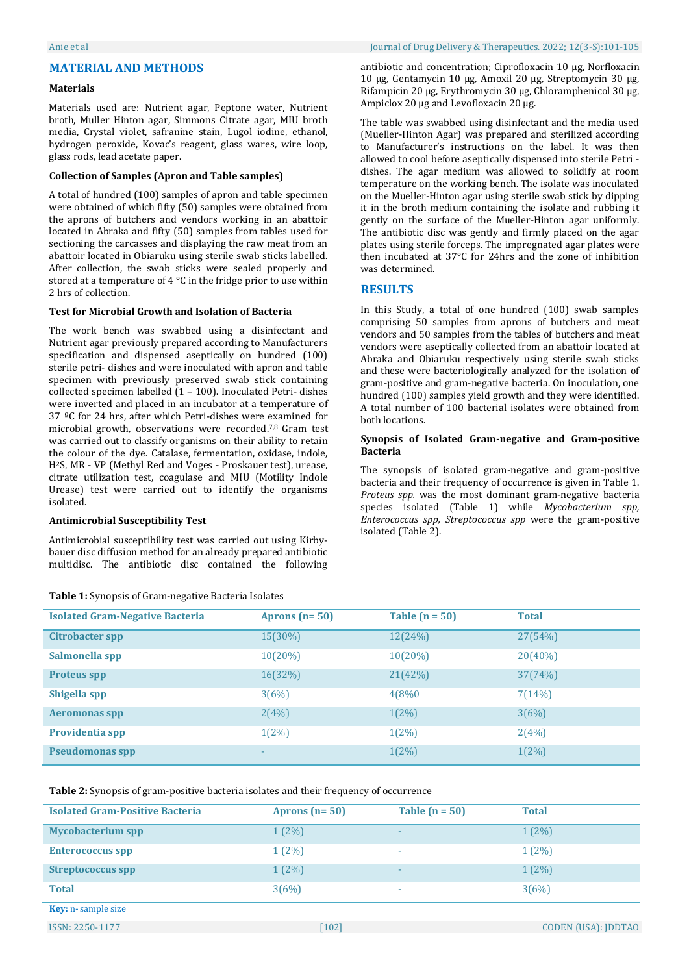#### Anie et al Journal of Drug Delivery & Therapeutics. 2022; 12(3-S):101-105

## **MATERIAL AND METHODS**

### **Materials**

Materials used are: Nutrient agar, Peptone water, Nutrient broth, Muller Hinton agar, Simmons Citrate agar, MIU broth media, Crystal violet, safranine stain, Lugol iodine, ethanol, hydrogen peroxide, Kovac's reagent, glass wares, wire loop, glass rods, lead acetate paper.

#### **Collection of Samples (Apron and Table samples)**

A total of hundred (100) samples of apron and table specimen were obtained of which fifty (50) samples were obtained from the aprons of butchers and vendors working in an abattoir located in Abraka and fifty (50) samples from tables used for sectioning the carcasses and displaying the raw meat from an abattoir located in Obiaruku using sterile swab sticks labelled. After collection, the swab sticks were sealed properly and stored at a temperature of 4 °C in the fridge prior to use within 2 hrs of collection.

#### **Test for Microbial Growth and Isolation of Bacteria**

The work bench was swabbed using a disinfectant and Nutrient agar previously prepared according to Manufacturers specification and dispensed aseptically on hundred (100) sterile petri- dishes and were inoculated with apron and table specimen with previously preserved swab stick containing collected specimen labelled (1 – 100). Inoculated Petri- dishes were inverted and placed in an incubator at a temperature of 37 ºC for 24 hrs, after which Petri-dishes were examined for microbial growth, observations were recorded. 7,8 Gram test was carried out to classify organisms on their ability to retain the colour of the dye. Catalase, fermentation, oxidase, indole, H2S, MR - VP (Methyl Red and Voges - Proskauer test), urease, citrate utilization test, coagulase and MIU (Motility Indole Urease) test were carried out to identify the organisms isolated.

#### **Antimicrobial Susceptibility Test**

Antimicrobial susceptibility test was carried out using Kirbybauer disc diffusion method for an already prepared antibiotic multidisc. The antibiotic disc contained the following

#### **Table 1:** Synopsis of Gram-negative Bacteria Isolates

antibiotic and concentration; Ciprofloxacin 10 µg, Norfloxacin 10 µg, Gentamycin 10 µg, Amoxil 20 µg, Streptomycin 30 µg, Rifampicin 20 µg, Erythromycin 30 µg, Chloramphenicol 30 µg, Ampiclox 20 µg and Levofloxacin 20 µg.

The table was swabbed using disinfectant and the media used (Mueller-Hinton Agar) was prepared and sterilized according to Manufacturer's instructions on the label. It was then allowed to cool before aseptically dispensed into sterile Petri dishes. The agar medium was allowed to solidify at room temperature on the working bench. The isolate was inoculated on the Mueller-Hinton agar using sterile swab stick by dipping it in the broth medium containing the isolate and rubbing it gently on the surface of the Mueller-Hinton agar uniformly. The antibiotic disc was gently and firmly placed on the agar plates using sterile forceps. The impregnated agar plates were then incubated at 37°C for 24hrs and the zone of inhibition was determined.

### **RESULTS**

In this Study, a total of one hundred (100) swab samples comprising 50 samples from aprons of butchers and meat vendors and 50 samples from the tables of butchers and meat vendors were aseptically collected from an abattoir located at Abraka and Obiaruku respectively using sterile swab sticks and these were bacteriologically analyzed for the isolation of gram-positive and gram-negative bacteria. On inoculation, one hundred (100) samples yield growth and they were identified. A total number of 100 bacterial isolates were obtained from both locations.

#### **Synopsis of Isolated Gram-negative and Gram-positive Bacteria**

The synopsis of isolated gram-negative and gram-positive bacteria and their frequency of occurrence is given in Table 1. *Proteus spp.* was the most dominant gram-negative bacteria species isolated (Table 1) while *Mycobacterium spp, Enterococcus spp, Streptococcus spp* were the gram-positive isolated (Table 2).

| <b>Isolated Gram-Negative Bacteria</b> | Aprons $(n=50)$ | Table $(n = 50)$ | <b>Total</b> |
|----------------------------------------|-----------------|------------------|--------------|
| Citrobacter spp                        | $15(30\%)$      | 12(24%)          | 27(54%)      |
| Salmonella spp                         | $10(20\%)$      | $10(20\%)$       | $20(40\%)$   |
| <b>Proteus spp</b>                     | 16(32%)         | 21(42%)          | 37(74%)      |
| Shigella spp                           | 3(6%)           | 4(8%0)           | 7(14%)       |
| <b>Aeromonas spp</b>                   | 2(4%)           | $1(2\%)$         | 3(6%)        |
| Providentia spp                        | $1(2\%)$        | $1(2\%)$         | 2(4%)        |
| <b>Pseudomonas spp</b>                 | ۰               | $1(2\%)$         | $1(2\%)$     |

**Table 2:** Synopsis of gram-positive bacteria isolates and their frequency of occurrence

| <b>Isolated Gram-Positive Bacteria</b> | Aprons $(n=50)$ | Table $(n = 50)$         | <b>Total</b> |
|----------------------------------------|-----------------|--------------------------|--------------|
| <b>Mycobacterium spp</b>               | $1(2\%)$        | $\overline{\phantom{a}}$ | $1(2\%)$     |
| <b>Enterococcus spp</b>                | $1(2\%)$        | ٠                        | $1(2\%)$     |
| <b>Streptococcus spp</b>               | $1(2\%)$        | $\overline{\phantom{a}}$ | $1(2\%)$     |
| <b>Total</b>                           | 3(6%)           | ٠                        | 3(6%)        |
| <b>Key:</b> n-sample size              |                 |                          |              |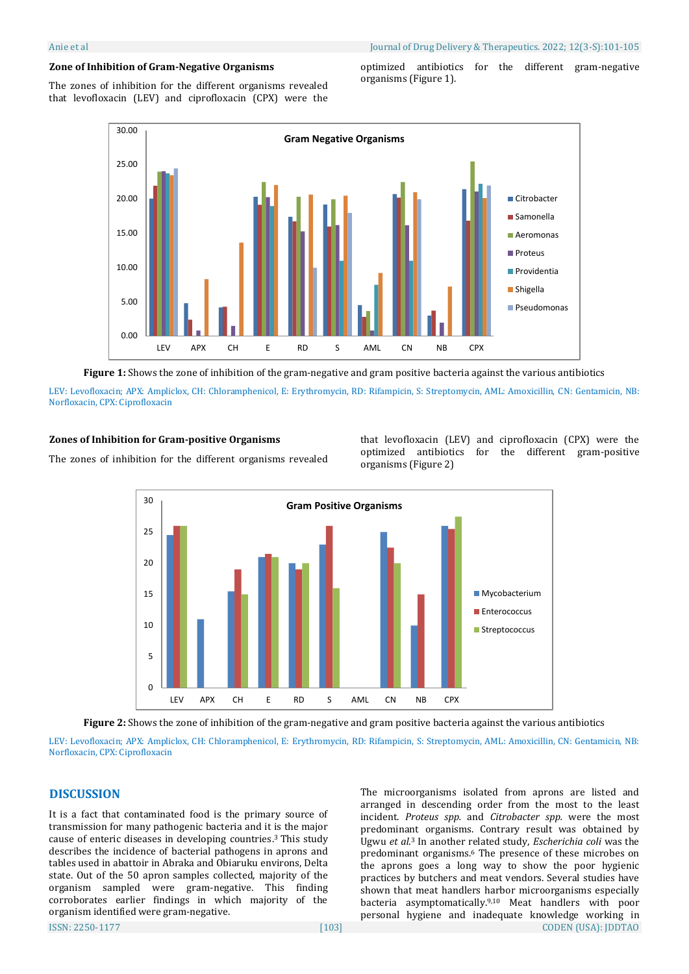The zones of inhibition for the different organisms revealed that levofloxacin (LEV) and ciprofloxacin (CPX) were the

optimized antibiotics for the different gram-negative organisms (Figure 1).



**Figure 1:** Shows the zone of inhibition of the gram-negative and gram positive bacteria against the various antibiotics

LEV: Levofloxacin; APX: Ampliclox, CH: Chloramphenicol, E: Erythromycin, RD: Rifampicin, S: Streptomycin, AML: Amoxicillin, CN: Gentamicin, NB: Norfloxacin, CPX: Ciprofloxacin

#### **Zones of Inhibition for Gram-positive Organisms**

The zones of inhibition for the different organisms revealed

that levofloxacin (LEV) and ciprofloxacin (CPX) were the optimized antibiotics for the different gram-positive organisms (Figure 2)



**Figure 2:** Shows the zone of inhibition of the gram-negative and gram positive bacteria against the various antibiotics

LEV: Levofloxacin; APX: Ampliclox, CH: Chloramphenicol, E: Erythromycin, RD: Rifampicin, S: Streptomycin, AML: Amoxicillin, CN: Gentamicin, NB: Norfloxacin, CPX: Ciprofloxacin

# **DISCUSSION**

It is a fact that contaminated food is the primary source of transmission for many pathogenic bacteria and it is the major cause of enteric diseases in developing countries. <sup>3</sup> This study describes the incidence of bacterial pathogens in aprons and tables used in abattoir in Abraka and Obiaruku environs, Delta state. Out of the 50 apron samples collected, majority of the organism sampled were gram-negative. This finding corroborates earlier findings in which majority of the organism identified were gram-negative.

ISSN: 2250-1177 [103] CODEN (USA): JDDTAO arranged in descending order from the most to the least incident. *Proteus spp.* and *Citrobacter spp.* were the most predominant organisms. Contrary result was obtained by Ugwu *et al*. <sup>3</sup> In another related study, *Escherichia coli* was the predominant organisms. <sup>6</sup> The presence of these microbes on the aprons goes a long way to show the poor hygienic practices by butchers and meat vendors. Several studies have shown that meat handlers harbor microorganisms especially bacteria asymptomatically. 9,10 Meat handlers with poor personal hygiene and inadequate knowledge working in

The microorganisms isolated from aprons are listed and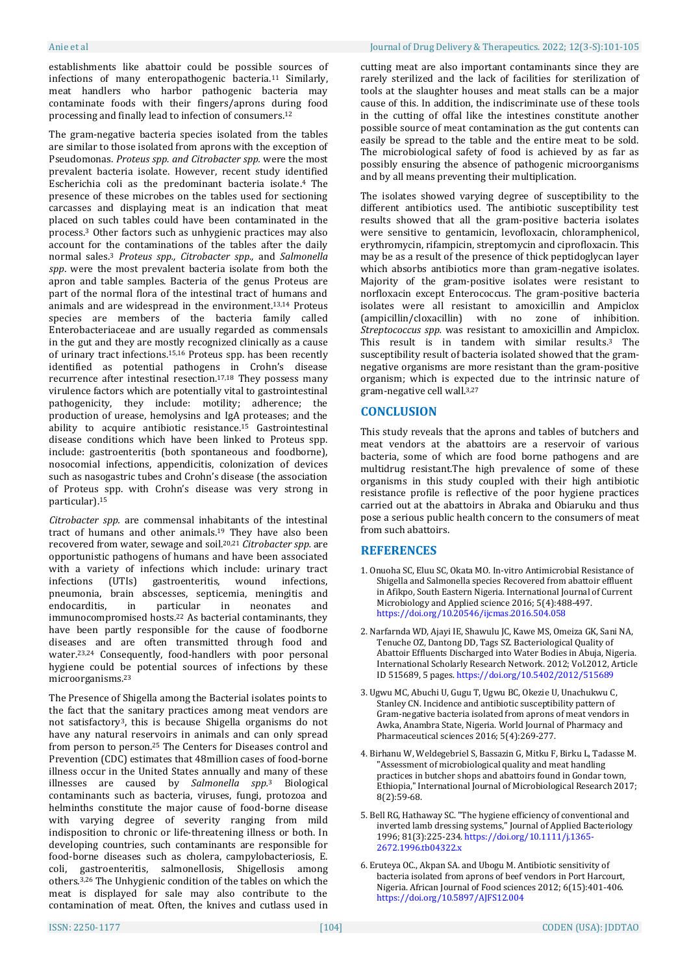establishments like abattoir could be possible sources of infections of many enteropathogenic bacteria. <sup>11</sup> Similarly, meat handlers who harbor pathogenic bacteria may contaminate foods with their fingers/aprons during food processing and finally lead to infection of consumers. 12

The gram-negative bacteria species isolated from the tables are similar to those isolated from aprons with the exception of Pseudomonas. *Proteus spp. and Citrobacter spp.* were the most prevalent bacteria isolate. However, recent study identified Escherichia coli as the predominant bacteria isolate. <sup>4</sup> The presence of these microbes on the tables used for sectioning carcasses and displaying meat is an indication that meat placed on such tables could have been contaminated in the process. <sup>3</sup> Other factors such as unhygienic practices may also account for the contaminations of the tables after the daily normal sales. <sup>3</sup> *Proteus spp., Citrobacter spp.,* and *Salmonella spp*. were the most prevalent bacteria isolate from both the apron and table samples. Bacteria of the genus Proteus are part of the normal flora of the intestinal tract of humans and animals and are widespread in the environment. 13,14 Proteus species are members of the bacteria family called Enterobacteriaceae and are usually regarded as commensals in the gut and they are mostly recognized clinically as a cause of urinary tract infections. 15,16 Proteus spp. has been recently identified as potential pathogens in Crohn's disease recurrence after intestinal resection.<sup>17,18</sup> They possess many virulence factors which are potentially vital to gastrointestinal pathogenicity, they include: motility; adherence; the production of urease, hemolysins and IgA proteases; and the ability to acquire antibiotic resistance. <sup>15</sup> Gastrointestinal disease conditions which have been linked to Proteus spp. include: gastroenteritis (both spontaneous and foodborne), nosocomial infections, appendicitis, colonization of devices such as nasogastric tubes and Crohn's disease (the association of Proteus spp. with Crohn's disease was very strong in particular). 15

*Citrobacter spp.* are commensal inhabitants of the intestinal tract of humans and other animals. <sup>19</sup> They have also been recovered from water, sewage and soil. 20,21 *Citrobacter spp.* are opportunistic pathogens of humans and have been associated with a variety of infections which include: urinary tract infections (UTIs) gastroenteritis, wound infections, pneumonia, brain abscesses, septicemia, meningitis and endocarditis, in particular in neonates and immunocompromised hosts. <sup>22</sup> As bacterial contaminants, they have been partly responsible for the cause of foodborne diseases and are often transmitted through food and water. 23,24 Consequently, food-handlers with poor personal hygiene could be potential sources of infections by these microorganisms. 23

The Presence of Shigella among the Bacterial isolates points to the fact that the sanitary practices among meat vendors are not satisfactory3, this is because Shigella organisms do not have any natural reservoirs in animals and can only spread from person to person. <sup>25</sup> The Centers for Diseases control and Prevention (CDC) estimates that 48million cases of food-borne illness occur in the United States annually and many of these illnesses are caused by *Salmonella spp.*<sup>3</sup> Biological contaminants such as bacteria, viruses, fungi, protozoa and helminths constitute the major cause of food-borne disease with varying degree of severity ranging from mild indisposition to chronic or life-threatening illness or both. In developing countries, such contaminants are responsible for food-borne diseases such as cholera, campylobacteriosis, E. coli, gastroenteritis, salmonellosis, Shigellosis among others. 3,26 The Unhygienic condition of the tables on which the meat is displayed for sale may also contribute to the contamination of meat. Often, the knives and cutlass used in

#### Anie et al Journal of Drug Delivery & Therapeutics. 2022; 12(3-S):101-105

cutting meat are also important contaminants since they are rarely sterilized and the lack of facilities for sterilization of tools at the slaughter houses and meat stalls can be a major cause of this. In addition, the indiscriminate use of these tools in the cutting of offal like the intestines constitute another possible source of meat contamination as the gut contents can easily be spread to the table and the entire meat to be sold. The microbiological safety of food is achieved by as far as possibly ensuring the absence of pathogenic microorganisms and by all means preventing their multiplication.

The isolates showed varying degree of susceptibility to the different antibiotics used. The antibiotic susceptibility test results showed that all the gram-positive bacteria isolates were sensitive to gentamicin, levofloxacin, chloramphenicol, erythromycin, rifampicin, streptomycin and ciprofloxacin. This may be as a result of the presence of thick peptidoglycan layer which absorbs antibiotics more than gram-negative isolates. Majority of the gram-positive isolates were resistant to norfloxacin except Enterococcus. The gram-positive bacteria isolates were all resistant to amoxicillin and Ampiclox (ampicillin/cloxacillin) with no zone of inhibition. *Streptococcus spp.* was resistant to amoxicillin and Ampiclox. This result is in tandem with similar results. <sup>3</sup> The susceptibility result of bacteria isolated showed that the gramnegative organisms are more resistant than the gram-positive organism; which is expected due to the intrinsic nature of gram-negative cell wall. 3,27

# **CONCLUSION**

This study reveals that the aprons and tables of butchers and meat vendors at the abattoirs are a reservoir of various bacteria, some of which are food borne pathogens and are multidrug resistant.The high prevalence of some of these organisms in this study coupled with their high antibiotic resistance profile is reflective of the poor hygiene practices carried out at the abattoirs in Abraka and Obiaruku and thus pose a serious public health concern to the consumers of meat from such abattoirs.

# **REFERENCES**

- 1. Onuoha SC, Eluu SC, Okata MO. In-vitro Antimicrobial Resistance of Shigella and Salmonella species Recovered from abattoir effluent in Afikpo, South Eastern Nigeria. International Journal of Current Microbiology and Applied science 2016; 5(4):488-497. <https://doi.org/10.20546/ijcmas.2016.504.058>
- 2. Narfarnda WD, Ajayi IE, Shawulu JC, Kawe MS, Omeiza GK, Sani NA, Tenuche OZ, Dantong DD, Tags SZ. Bacteriological Quality of Abattoir Effluents Discharged into Water Bodies in Abuja, Nigeria. International Scholarly Research Network. 2012; Vol.2012, Article ID 515689, 5 pages. <https://doi.org/10.5402/2012/515689>
- 3. Ugwu MC, Abuchi U, Gugu T, Ugwu BC, Okezie U, Unachukwu C, Stanley CN. Incidence and antibiotic susceptibility pattern of Gram-negative bacteria isolated from aprons of meat vendors in Awka, Anambra State, Nigeria. World Journal of Pharmacy and Pharmaceutical sciences 2016; 5(4):269-277.
- 4. Birhanu W, Weldegebriel S, Bassazin G, Mitku F, Birku L, Tadasse M. "Assessment of microbiological quality and meat handling practices in butcher shops and abattoirs found in Gondar town, Ethiopia," International Journal of Microbiological Research 2017; 8(2):59-68.
- 5. Bell RG, Hathaway SC. "The hygiene efficiency of conventional and inverted lamb dressing systems," Journal of Applied Bacteriology 1996; 81(3):225-234. [https://doi.org/10.1111/j.1365-](https://doi.org/10.1111/j.1365-2672.1996.tb04322.x) [2672.1996.tb04322.x](https://doi.org/10.1111/j.1365-2672.1996.tb04322.x)
- 6. Eruteya OC., Akpan SA. and Ubogu M. Antibiotic sensitivity of bacteria isolated from aprons of beef vendors in Port Harcourt, Nigeria. African Journal of Food sciences 2012; 6(15):401-406. <https://doi.org/10.5897/AJFS12.004>